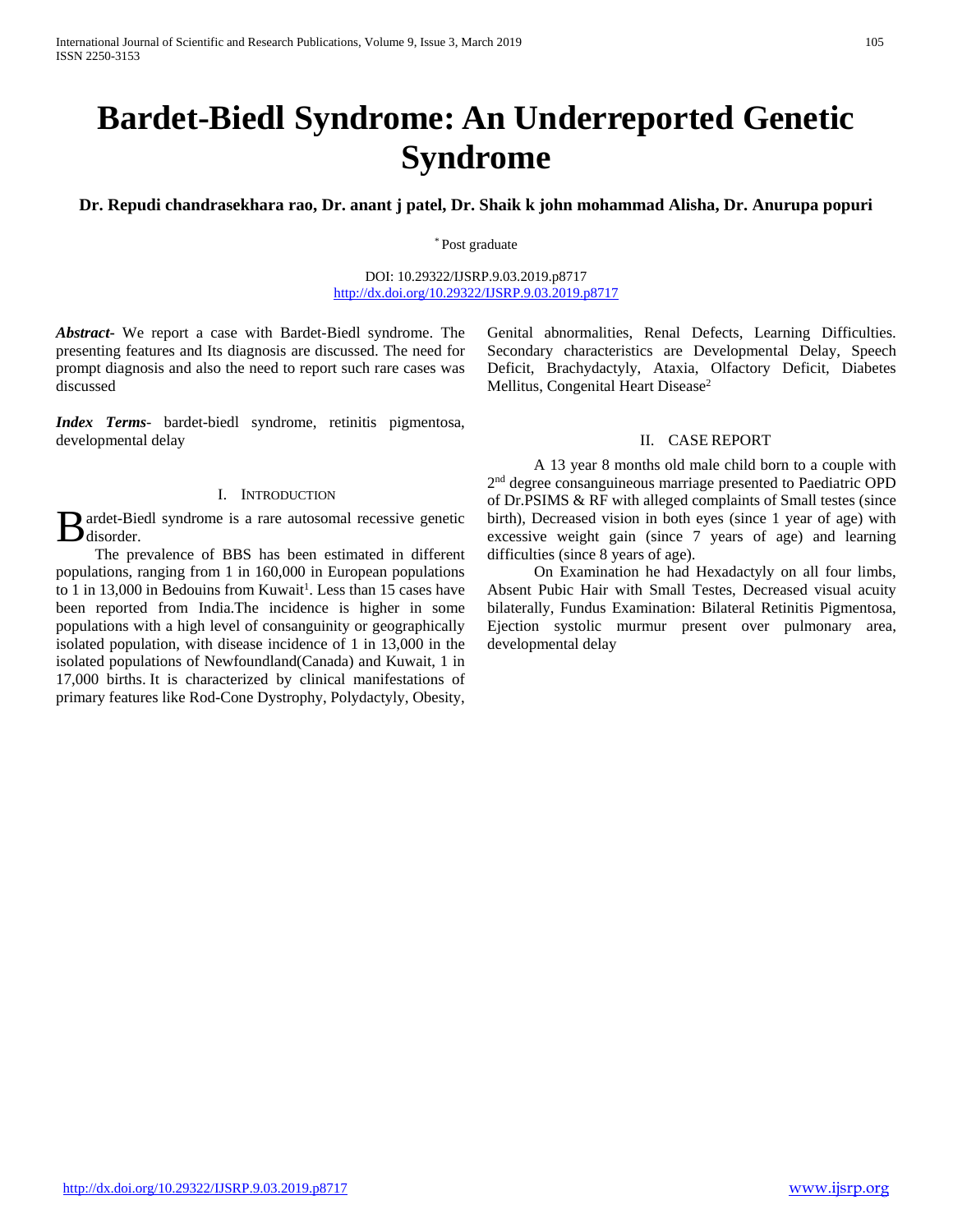# **Bardet-Biedl Syndrome: An Underreported Genetic Syndrome**

**Dr. Repudi chandrasekhara rao, Dr. anant j patel, Dr. Shaik k john mohammad Alisha, Dr. Anurupa popuri**

\* Post graduate

DOI: 10.29322/IJSRP.9.03.2019.p8717 <http://dx.doi.org/10.29322/IJSRP.9.03.2019.p8717>

*Abstract***-** We report a case with Bardet-Biedl syndrome. The presenting features and Its diagnosis are discussed. The need for prompt diagnosis and also the need to report such rare cases was discussed

*Index Terms*- bardet-biedl syndrome, retinitis pigmentosa, developmental delay

## I. INTRODUCTION

ardet-Biedl syndrome is a rare autosomal recessive genetic  $B<sub>disorder.</sub>$ 

 The prevalence of BBS has been estimated in different populations, ranging from 1 in 160,000 in European populations to 1 in 13,000 in Bedouins from Kuwait<sup>1</sup>. Less than 15 cases have been reported from India.The incidence is higher in some populations with a high level of consanguinity or geographically isolated population, with disease incidence of 1 in 13,000 in the isolated populations of Newfoundland(Canada) and Kuwait, 1 in 17,000 births. It is characterized by clinical manifestations of primary features like Rod-Cone Dystrophy, Polydactyly, Obesity,

Genital abnormalities, Renal Defects, Learning Difficulties. Secondary characteristics are Developmental Delay, Speech Deficit, Brachydactyly, Ataxia, Olfactory Deficit, Diabetes Mellitus, Congenital Heart Disease<sup>2</sup>

## II. CASE REPORT

 A 13 year 8 months old male child born to a couple with 2<sup>nd</sup> degree consanguineous marriage presented to Paediatric OPD of Dr.PSIMS & RF with alleged complaints of Small testes (since birth), Decreased vision in both eyes (since 1 year of age) with excessive weight gain (since 7 years of age) and learning difficulties (since 8 years of age).

 On Examination he had Hexadactyly on all four limbs, Absent Pubic Hair with Small Testes, Decreased visual acuity bilaterally, Fundus Examination: Bilateral Retinitis Pigmentosa, Ejection systolic murmur present over pulmonary area, developmental delay